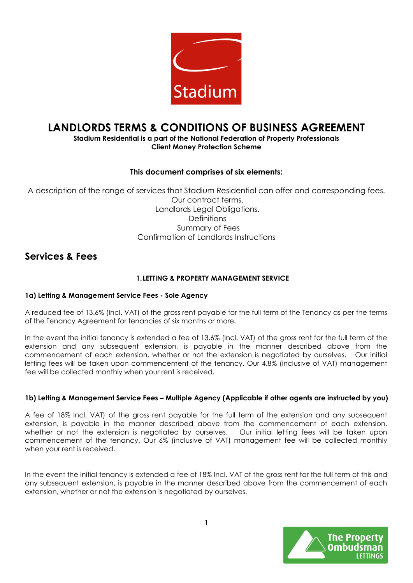

# LANDLORDS TERMS & CONDITIONS OF BUSINESS AGREEMENT

## Stadium Residential is a part of the National Federation of Property Professionals Client Money Protection Scheme

## This document comprises of six elements:

A description of the range of services that Stadium Residential can offer and corresponding fees. Our contract terms. Landlords Legal Obligations. **Definitions**  Summary of Fees Confirmation of Landlords Instructions

# Services & Fees

## 1.LETTING & PROPERTY MANAGEMENT SERVICE

## 1a) Letting & Management Service Fees - Sole Agency

A reduced fee of 13.6% (Incl. VAT) of the gross rent payable for the full term of the Tenancy as per the terms of the Tenancy Agreement for tenancies of six months or more.

In the event the initial tenancy is extended a fee of 13.6% (Incl. VAT) of the gross rent for the full term of the extension and any subsequent extension, is payable in the manner described above from the commencement of each extension, whether or not the extension is negotiated by ourselves. Our initial letting fees will be taken upon commencement of the tenancy. Our 4.8% (inclusive of VAT) management fee will be collected monthly when your rent is received.

## 1b) Letting & Management Service Fees – Multiple Agency (Applicable if other agents are instructed by you)

A fee of 18% Incl. VAT) of the gross rent payable for the full term of the extension and any subsequent extension, is payable in the manner described above from the commencement of each extension, whether or not the extension is negotiated by ourselves. Our initial letting fees will be taken upon commencement of the tenancy. Our 6% (inclusive of VAT) management fee will be collected monthly when your rent is received.

In the event the initial tenancy is extended a fee of 18% Incl. VAT of the gross rent for the full term of this and any subsequent extension, is payable in the manner described above from the commencement of each extension, whether or not the extension is negotiated by ourselves.

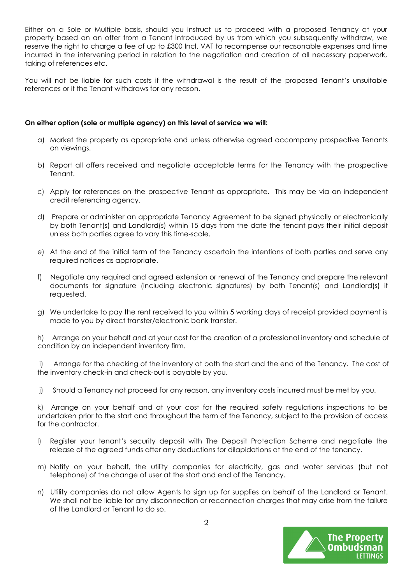Either on a Sole or Multiple basis, should you instruct us to proceed with a proposed Tenancy at your property based on an offer from a Tenant introduced by us from which you subsequently withdraw, we reserve the right to charge a fee of up to £300 Incl. VAT to recompense our reasonable expenses and time incurred in the intervening period in relation to the negotiation and creation of all necessary paperwork, taking of references etc.

You will not be liable for such costs if the withdrawal is the result of the proposed Tenant's unsuitable references or if the Tenant withdraws for any reason.

#### On either option (sole or multiple agency) on this level of service we will:

- a) Market the property as appropriate and unless otherwise agreed accompany prospective Tenants on viewings.
- b) Report all offers received and negotiate acceptable terms for the Tenancy with the prospective Tenant.
- c) Apply for references on the prospective Tenant as appropriate. This may be via an independent credit referencing agency.
- d) Prepare or administer an appropriate Tenancy Agreement to be signed physically or electronically by both Tenant(s) and Landlord(s) within 15 days from the date the tenant pays their initial deposit unless both parties agree to vary this time-scale.
- e) At the end of the initial term of the Tenancy ascertain the intentions of both parties and serve any required notices as appropriate.
- f) Negotiate any required and agreed extension or renewal of the Tenancy and prepare the relevant documents for signature (including electronic signatures) by both Tenant(s) and Landlord(s) if requested.
- g) We undertake to pay the rent received to you within 5 working days of receipt provided payment is made to you by direct transfer/electronic bank transfer.

h) Arrange on your behalf and at your cost for the creation of a professional inventory and schedule of condition by an independent inventory firm.

 i) Arrange for the checking of the inventory at both the start and the end of the Tenancy. The cost of the inventory check-in and check-out is payable by you.

j) Should a Tenancy not proceed for any reason, any inventory costs incurred must be met by you.

k) Arrange on your behalf and at your cost for the required safety regulations inspections to be undertaken prior to the start and throughout the term of the Tenancy, subject to the provision of access for the contractor.

- l) Register your tenant's security deposit with The Deposit Protection Scheme and negotiate the release of the agreed funds after any deductions for dilapidations at the end of the tenancy.
- m) Notify on your behalf, the utility companies for electricity, gas and water services (but not telephone) of the change of user at the start and end of the Tenancy.
- n) Utility companies do not allow Agents to sign up for supplies on behalf of the Landlord or Tenant. We shall not be liable for any disconnection or reconnection charges that may arise from the failure of the Landlord or Tenant to do so.

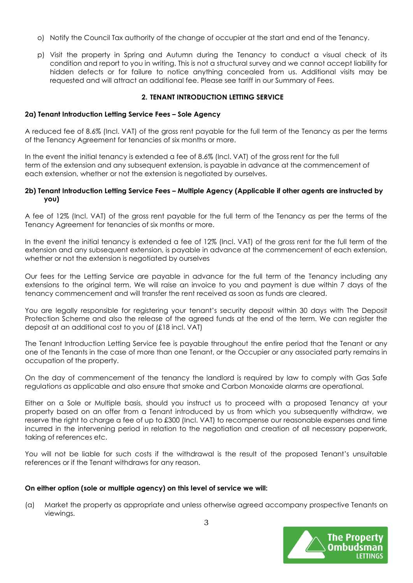- o) Notify the Council Tax authority of the change of occupier at the start and end of the Tenancy.
- p) Visit the property in Spring and Autumn during the Tenancy to conduct a visual check of its condition and report to you in writing. This is not a structural survey and we cannot accept liability for hidden defects or for failure to notice anything concealed from us. Additional visits may be requested and will attract an additional fee. Please see tariff in our Summary of Fees.

## 2. TENANT INTRODUCTION LETTING SERVICE

#### 2a) Tenant Introduction Letting Service Fees – Sole Agency

A reduced fee of 8.6% (Incl. VAT) of the gross rent payable for the full term of the Tenancy as per the terms of the Tenancy Agreement for tenancies of six months or more.

In the event the initial tenancy is extended a fee of 8.6% (Incl. VAT) of the gross rent for the full term of the extension and any subsequent extension, is payable in advance at the commencement of each extension, whether or not the extension is negotiated by ourselves.

#### 2b) Tenant Introduction Letting Service Fees – Multiple Agency (Applicable if other agents are instructed by you)

A fee of 12% (Incl. VAT) of the gross rent payable for the full term of the Tenancy as per the terms of the Tenancy Agreement for tenancies of six months or more.

In the event the initial tenancy is extended a fee of 12% (Incl. VAT) of the gross rent for the full term of the extension and any subsequent extension, is payable in advance at the commencement of each extension, whether or not the extension is negotiated by ourselves

Our fees for the Letting Service are payable in advance for the full term of the Tenancy including any extensions to the original term. We will raise an invoice to you and payment is due within 7 days of the tenancy commencement and will transfer the rent received as soon as funds are cleared.

You are legally responsible for registering your tenant's security deposit within 30 days with The Deposit Protection Scheme and also the release of the agreed funds at the end of the term. We can register the deposit at an additional cost to you of (£18 incl. VAT)

The Tenant Introduction Letting Service fee is payable throughout the entire period that the Tenant or any one of the Tenants in the case of more than one Tenant, or the Occupier or any associated party remains in occupation of the property.

On the day of commencement of the tenancy the landlord is required by law to comply with Gas Safe regulations as applicable and also ensure that smoke and Carbon Monoxide alarms are operational.

Either on a Sole or Multiple basis, should you instruct us to proceed with a proposed Tenancy at your property based on an offer from a Tenant introduced by us from which you subsequently withdraw, we reserve the right to charge a fee of up to £300 (Incl. VAT) to recompense our reasonable expenses and time incurred in the intervening period in relation to the negotiation and creation of all necessary paperwork, taking of references etc.

You will not be liable for such costs if the withdrawal is the result of the proposed Tenant's unsuitable references or if the Tenant withdraws for any reason.

#### On either option (sole or multiple agency) on this level of service we will:

(a) Market the property as appropriate and unless otherwise agreed accompany prospective Tenants on viewings.

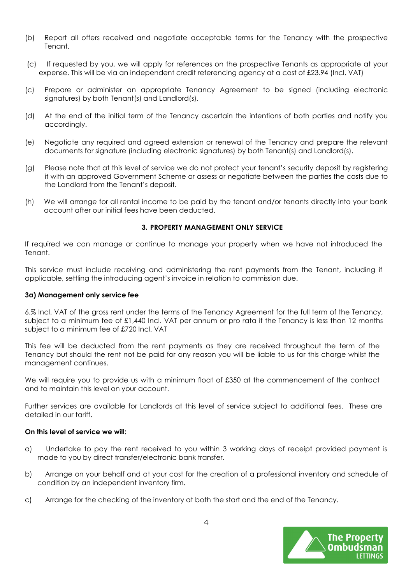- (b) Report all offers received and negotiate acceptable terms for the Tenancy with the prospective Tenant.
- (c) If requested by you, we will apply for references on the prospective Tenants as appropriate at your expense. This will be via an independent credit referencing agency at a cost of £23.94 (Incl. VAT)
- (c) Prepare or administer an appropriate Tenancy Agreement to be signed (including electronic signatures) by both Tenant(s) and Landlord(s).
- (d) At the end of the initial term of the Tenancy ascertain the intentions of both parties and notify you accordingly.
- (e) Negotiate any required and agreed extension or renewal of the Tenancy and prepare the relevant documents for signature (including electronic signatures) by both Tenant(s) and Landlord(s).
- (g) Please note that at this level of service we do not protect your tenant's security deposit by registering it with an approved Government Scheme or assess or negotiate between the parties the costs due to the Landlord from the Tenant's deposit.
- (h) We will arrange for all rental income to be paid by the tenant and/or tenants directly into your bank account after our initial fees have been deducted.

#### 3. PROPERTY MANAGEMENT ONLY SERVICE

If required we can manage or continue to manage your property when we have not introduced the Tenant.

This service must include receiving and administering the rent payments from the Tenant, including if applicable, settling the introducing agent's invoice in relation to commission due.

#### 3a) Management only service fee

6.% Incl. VAT of the gross rent under the terms of the Tenancy Agreement for the full term of the Tenancy, subject to a minimum fee of £1,440 Incl. VAT per annum or pro rata if the Tenancy is less than 12 months subject to a minimum fee of £720 Incl. VAT

This fee will be deducted from the rent payments as they are received throughout the term of the Tenancy but should the rent not be paid for any reason you will be liable to us for this charge whilst the management continues.

We will require you to provide us with a minimum float of £350 at the commencement of the contract and to maintain this level on your account.

Further services are available for Landlords at this level of service subject to additional fees. These are detailed in our tariff.

## On this level of service we will:

- a) Undertake to pay the rent received to you within 3 working days of receipt provided payment is made to you by direct transfer/electronic bank transfer.
- b) Arrange on your behalf and at your cost for the creation of a professional inventory and schedule of condition by an independent inventory firm.
- c) Arrange for the checking of the inventory at both the start and the end of the Tenancy.

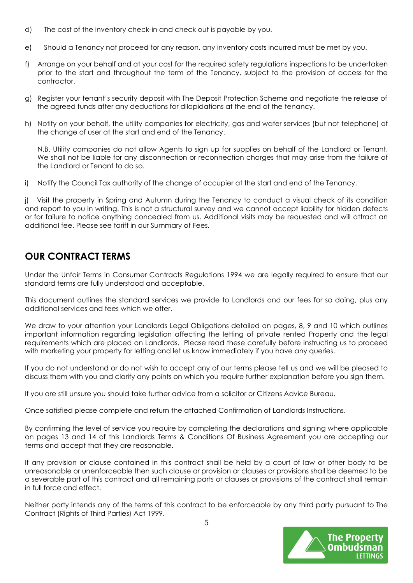- d) The cost of the inventory check-in and check out is payable by you.
- e) Should a Tenancy not proceed for any reason, any inventory costs incurred must be met by you.
- f) Arrange on your behalf and at your cost for the required safety regulations inspections to be undertaken prior to the start and throughout the term of the Tenancy, subject to the provision of access for the contractor.
- g) Register your tenant's security deposit with The Deposit Protection Scheme and negotiate the release of the agreed funds after any deductions for dilapidations at the end of the tenancy.
- h) Notify on your behalf, the utility companies for electricity, gas and water services (but not telephone) of the change of user at the start and end of the Tenancy.

N.B. Utility companies do not allow Agents to sign up for supplies on behalf of the Landlord or Tenant. We shall not be liable for any disconnection or reconnection charges that may arise from the failure of the Landlord or Tenant to do so.

i) Notify the Council Tax authority of the change of occupier at the start and end of the Tenancy.

j) Visit the property in Spring and Autumn during the Tenancy to conduct a visual check of its condition and report to you in writing. This is not a structural survey and we cannot accept liability for hidden defects or for failure to notice anything concealed from us. Additional visits may be requested and will attract an additional fee. Please see tariff in our Summary of Fees.

# OUR CONTRACT TERMS

Under the Unfair Terms in Consumer Contracts Regulations 1994 we are legally required to ensure that our standard terms are fully understood and acceptable.

This document outlines the standard services we provide to Landlords and our fees for so doing, plus any additional services and fees which we offer.

We draw to your attention your Landlords Legal Obligations detailed on pages, 8, 9 and 10 which outlines important information regarding legislation affecting the letting of private rented Property and the legal requirements which are placed on Landlords. Please read these carefully before instructing us to proceed with marketing your property for letting and let us know immediately if you have any queries.

If you do not understand or do not wish to accept any of our terms please tell us and we will be pleased to discuss them with you and clarify any points on which you require further explanation before you sign them.

If you are still unsure you should take further advice from a solicitor or Citizens Advice Bureau.

Once satisfied please complete and return the attached Confirmation of Landlords Instructions.

By confirming the level of service you require by completing the declarations and signing where applicable on pages 13 and 14 of this Landlords Terms & Conditions Of Business Agreement you are accepting our terms and accept that they are reasonable.

If any provision or clause contained in this contract shall be held by a court of law or other body to be unreasonable or unenforceable then such clause or provision or clauses or provisions shall be deemed to be a severable part of this contract and all remaining parts or clauses or provisions of the contract shall remain in full force and effect.

Neither party intends any of the terms of this contract to be enforceable by any third party pursuant to The Contract (Rights of Third Parties) Act 1999.

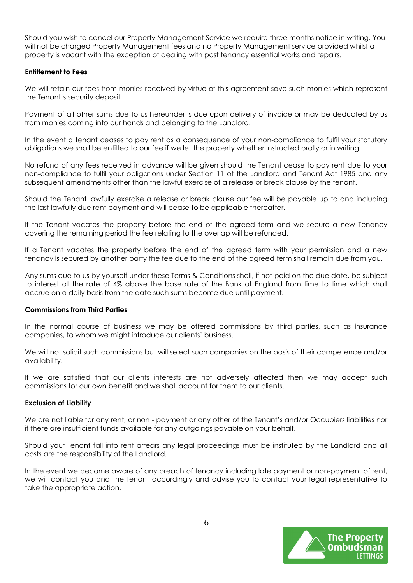Should you wish to cancel our Property Management Service we require three months notice in writing. You will not be charged Property Management fees and no Property Management service provided whilst a property is vacant with the exception of dealing with post tenancy essential works and repairs.

## Entitlement to Fees

We will retain our fees from monies received by virtue of this agreement save such monies which represent the Tenant's security deposit.

Payment of all other sums due to us hereunder is due upon delivery of invoice or may be deducted by us from monies coming into our hands and belonging to the Landlord.

In the event a tenant ceases to pay rent as a consequence of your non-compliance to fulfil your statutory obligations we shall be entitled to our fee if we let the property whether instructed orally or in writing.

No refund of any fees received in advance will be given should the Tenant cease to pay rent due to your non-compliance to fulfil your obligations under Section 11 of the Landlord and Tenant Act 1985 and any subsequent amendments other than the lawful exercise of a release or break clause by the tenant.

Should the Tenant lawfully exercise a release or break clause our fee will be payable up to and including the last lawfully due rent payment and will cease to be applicable thereafter.

If the Tenant vacates the property before the end of the agreed term and we secure a new Tenancy covering the remaining period the fee relating to the overlap will be refunded.

If a Tenant vacates the property before the end of the agreed term with your permission and a new tenancy is secured by another party the fee due to the end of the agreed term shall remain due from you.

Any sums due to us by yourself under these Terms & Conditions shall, if not paid on the due date, be subject to interest at the rate of 4% above the base rate of the Bank of England from time to time which shall accrue on a daily basis from the date such sums become due until payment.

#### Commissions from Third Parties

In the normal course of business we may be offered commissions by third parties, such as insurance companies, to whom we might introduce our clients' business.

We will not solicit such commissions but will select such companies on the basis of their competence and/or availability.

If we are satisfied that our clients interests are not adversely affected then we may accept such commissions for our own benefit and we shall account for them to our clients.

#### Exclusion of Liability

We are not liable for any rent, or non - payment or any other of the Tenant's and/or Occupiers liabilities nor if there are insufficient funds available for any outgoings payable on your behalf.

Should your Tenant fall into rent arrears any legal proceedings must be instituted by the Landlord and all costs are the responsibility of the Landlord.

In the event we become aware of any breach of tenancy including late payment or non-payment of rent, we will contact you and the tenant accordingly and advise you to contact your legal representative to take the appropriate action.

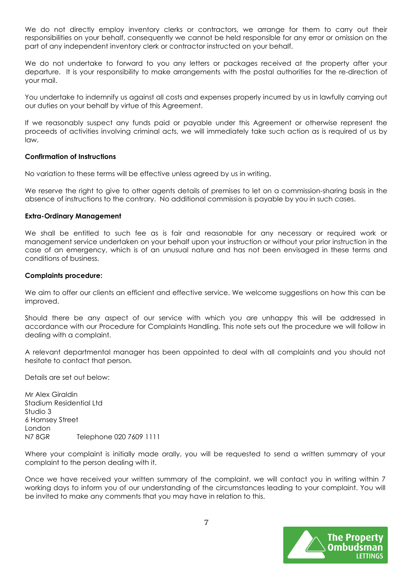We do not directly employ inventory clerks or contractors, we arrange for them to carry out their responsibilities on your behalf, consequently we cannot be held responsible for any error or omission on the part of any independent inventory clerk or contractor instructed on your behalf.

We do not undertake to forward to you any letters or packages received at the property after your departure. It is your responsibility to make arrangements with the postal authorities for the re-direction of your mail.

You undertake to indemnify us against all costs and expenses properly incurred by us in lawfully carrying out our duties on your behalf by virtue of this Agreement.

If we reasonably suspect any funds paid or payable under this Agreement or otherwise represent the proceeds of activities involving criminal acts, we will immediately take such action as is required of us by law.

#### Confirmation of Instructions

No variation to these terms will be effective unless agreed by us in writing.

We reserve the right to give to other agents details of premises to let on a commission-sharing basis in the absence of instructions to the contrary. No additional commission is payable by you in such cases.

#### Extra-Ordinary Management

We shall be entitled to such fee as is fair and reasonable for any necessary or required work or management service undertaken on your behalf upon your instruction or without your prior instruction in the case of an emergency, which is of an unusual nature and has not been envisaged in these terms and conditions of business.

#### Complaints procedure:

We aim to offer our clients an efficient and effective service. We welcome suggestions on how this can be improved.

Should there be any aspect of our service with which you are unhappy this will be addressed in accordance with our Procedure for Complaints Handling. This note sets out the procedure we will follow in dealing with a complaint.

A relevant departmental manager has been appointed to deal with all complaints and you should not hesitate to contact that person.

Details are set out below:

Mr Alex Giraldin Stadium Residential Ltd Studio 3 6 Hornsey Street London N7 8GR Telephone 020 7609 1111

Where your complaint is initially made orally, you will be requested to send a written summary of your complaint to the person dealing with it.

Once we have received your written summary of the complaint, we will contact you in writing within 7 working days to inform you of our understanding of the circumstances leading to your complaint. You will be invited to make any comments that you may have in relation to this.

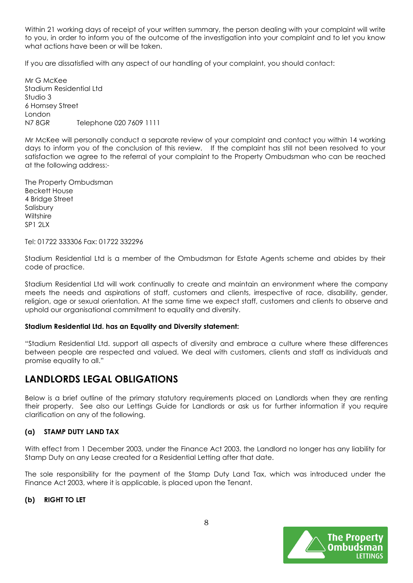Within 21 working days of receipt of your written summary, the person dealing with your complaint will write to you, in order to inform you of the outcome of the investigation into your complaint and to let you know what actions have been or will be taken.

If you are dissatisfied with any aspect of our handling of your complaint, you should contact:

Mr G McKee Stadium Residential Ltd Studio 3 6 Hornsey Street London N7 8GR Telephone 020 7609 1111

Mr McKee will personally conduct a separate review of your complaint and contact you within 14 working days to inform you of the conclusion of this review. If the complaint has still not been resolved to your satisfaction we agree to the referral of your complaint to the Property Ombudsman who can be reached at the following address:-

The Property Ombudsman Beckett House 4 Bridge Street Salisbury **Wiltshire**  $SP12IX$ 

Tel: 01722 333306 Fax: 01722 332296

Stadium Residential Ltd is a member of the Ombudsman for Estate Agents scheme and abides by their code of practice.

Stadium Residential Ltd will work continually to create and maintain an environment where the company meets the needs and aspirations of staff, customers and clients, irrespective of race, disability, gender, religion, age or sexual orientation. At the same time we expect staff, customers and clients to observe and uphold our organisational commitment to equality and diversity.

#### Stadium Residential Ltd. has an Equality and Diversity statement:

"Stadium Residential Ltd. support all aspects of diversity and embrace a culture where these differences between people are respected and valued. We deal with customers, clients and staff as individuals and promise equality to all."

# LANDLORDS LEGAL OBLIGATIONS

Below is a brief outline of the primary statutory requirements placed on Landlords when they are renting their property. See also our Lettings Guide for Landlords or ask us for further information if you require clarification on any of the following.

#### (a) STAMP DUTY LAND TAX

With effect from 1 December 2003, under the Finance Act 2003, the Landlord no longer has any liability for Stamp Duty on any Lease created for a Residential Letting after that date.

The sole responsibility for the payment of the Stamp Duty Land Tax, which was introduced under the Finance Act 2003, where it is applicable, is placed upon the Tenant.

#### (b) RIGHT TO LET

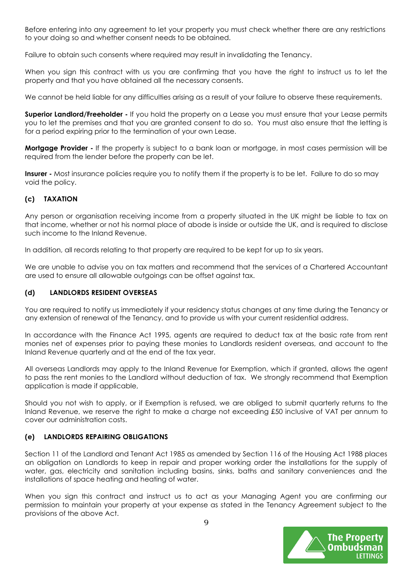Before entering into any agreement to let your property you must check whether there are any restrictions to your doing so and whether consent needs to be obtained.

Failure to obtain such consents where required may result in invalidating the Tenancy.

When you sign this contract with us you are confirming that you have the right to instruct us to let the property and that you have obtained all the necessary consents.

We cannot be held liable for any difficulties arising as a result of your failure to observe these requirements.

**Superior Landlord/Freeholder -** If you hold the property on a Lease you must ensure that your Lease permits you to let the premises and that you are granted consent to do so. You must also ensure that the letting is for a period expiring prior to the termination of your own Lease.

Mortgage Provider - If the property is subject to a bank loan or mortgage, in most cases permission will be required from the lender before the property can be let.

Insurer - Most insurance policies require you to notify them if the property is to be let. Failure to do so may void the policy.

## (c) TAXATION

Any person or organisation receiving income from a property situated in the UK might be liable to tax on that income, whether or not his normal place of abode is inside or outside the UK, and is required to disclose such income to the Inland Revenue.

In addition, all records relating to that property are required to be kept for up to six years.

We are unable to advise you on tax matters and recommend that the services of a Chartered Accountant are used to ensure all allowable outgoings can be offset against tax.

## (d) LANDLORDS RESIDENT OVERSEAS

You are required to notify us immediately if your residency status changes at any time during the Tenancy or any extension of renewal of the Tenancy, and to provide us with your current residential address.

In accordance with the Finance Act 1995, agents are required to deduct tax at the basic rate from rent monies net of expenses prior to paying these monies to Landlords resident overseas, and account to the Inland Revenue quarterly and at the end of the tax year.

All overseas Landlords may apply to the Inland Revenue for Exemption, which if granted, allows the agent to pass the rent monies to the Landlord without deduction of tax. We strongly recommend that Exemption application is made if applicable,

Should you not wish to apply, or if Exemption is refused, we are obliged to submit quarterly returns to the Inland Revenue, we reserve the right to make a charge not exceeding £50 inclusive of VAT per annum to cover our administration costs.

## (e) LANDLORDS REPAIRING OBLIGATIONS

Section 11 of the Landlord and Tenant Act 1985 as amended by Section 116 of the Housing Act 1988 places an obligation on Landlords to keep in repair and proper working order the installations for the supply of water, gas, electricity and sanitation including basins, sinks, baths and sanitary conveniences and the installations of space heating and heating of water.

When you sign this contract and instruct us to act as your Managing Agent you are confirming our permission to maintain your property at your expense as stated in the Tenancy Agreement subject to the provisions of the above Act.

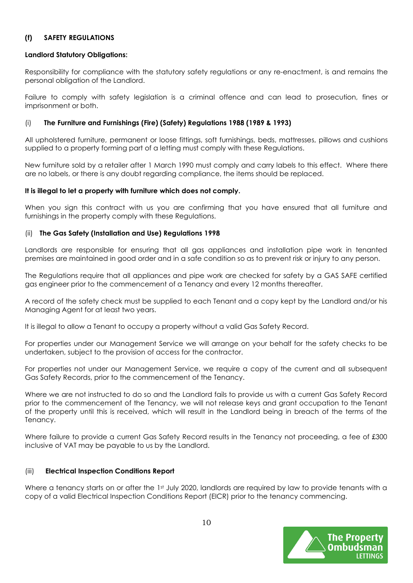## (f) SAFETY REGULATIONS

## Landlord Statutory Obligations:

Responsibility for compliance with the statutory safety regulations or any re-enactment, is and remains the personal obligation of the Landlord.

Failure to comply with safety legislation is a criminal offence and can lead to prosecution, fines or imprisonment or both.

## (i) The Furniture and Furnishings (Fire) (Safety) Regulations 1988 (1989 & 1993)

All upholstered furniture, permanent or loose fittings, soft furnishings, beds, mattresses, pillows and cushions supplied to a property forming part of a letting must comply with these Regulations.

New furniture sold by a retailer after 1 March 1990 must comply and carry labels to this effect. Where there are no labels, or there is any doubt regarding compliance, the items should be replaced.

## It is illegal to let a property with furniture which does not comply.

When you sign this contract with us you are confirming that you have ensured that all furniture and furnishings in the property comply with these Regulations.

## (ii) The Gas Safety (Installation and Use) Regulations 1998

Landlords are responsible for ensuring that all gas appliances and installation pipe work in tenanted premises are maintained in good order and in a safe condition so as to prevent risk or injury to any person.

The Regulations require that all appliances and pipe work are checked for safety by a GAS SAFE certified gas engineer prior to the commencement of a Tenancy and every 12 months thereafter.

A record of the safety check must be supplied to each Tenant and a copy kept by the Landlord and/or his Managing Agent for at least two years.

It is illegal to allow a Tenant to occupy a property without a valid Gas Safety Record.

For properties under our Management Service we will arrange on your behalf for the safety checks to be undertaken, subject to the provision of access for the contractor.

For properties not under our Management Service, we require a copy of the current and all subsequent Gas Safety Records, prior to the commencement of the Tenancy.

Where we are not instructed to do so and the Landlord fails to provide us with a current Gas Safety Record prior to the commencement of the Tenancy, we will not release keys and grant occupation to the Tenant of the property until this is received, which will result in the Landlord being in breach of the terms of the Tenancy.

Where failure to provide a current Gas Safety Record results in the Tenancy not proceeding, a fee of £300 inclusive of VAT may be payable to us by the Landlord.

## (iii) Electrical Inspection Conditions Report

Where a tenancy starts on or after the 1st July 2020, landlords are required by law to provide tenants with a copy of a valid Electrical Inspection Conditions Report (EICR) prior to the tenancy commencing.

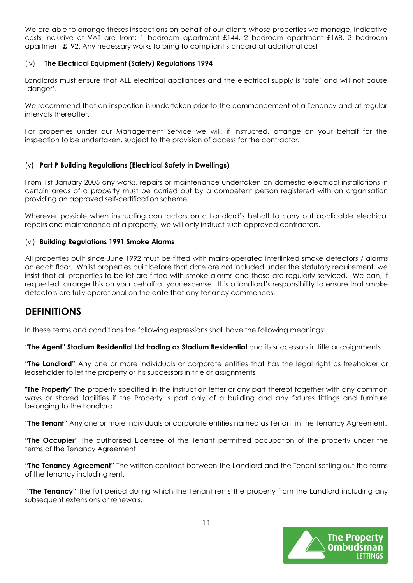We are able to arrange theses inspections on behalf of our clients whose properties we manage, indicative costs inclusive of VAT are from: 1 bedroom apartment £144, 2 bedroom apartment £168, 3 bedroom apartment £192. Any necessary works to bring to compliant standard at additional cost

## (iv) The Electrical Equipment (Safety) Regulations 1994

Landlords must ensure that ALL electrical appliances and the electrical supply is 'safe' and will not cause 'danger'.

We recommend that an inspection is undertaken prior to the commencement of a Tenancy and at regular intervals thereafter.

For properties under our Management Service we will, if instructed, arrange on your behalf for the inspection to be undertaken, subject to the provision of access for the contractor.

## (v) Part P Building Regulations (Electrical Safety in Dwellings)

From 1st January 2005 any works, repairs or maintenance undertaken on domestic electrical installations in certain areas of a property must be carried out by a competent person registered with an organisation providing an approved self-certification scheme.

Wherever possible when instructing contractors on a Landlord's behalf to carry out applicable electrical repairs and maintenance at a property, we will only instruct such approved contractors.

#### (vi) Building Regulations 1991 Smoke Alarms

All properties built since June 1992 must be fitted with mains-operated interlinked smoke detectors / alarms on each floor. Whilst properties built before that date are not included under the statutory requirement, we insist that all properties to be let are fitted with smoke alarms and these are regularly serviced. We can, if requested, arrange this on your behalf at your expense. It is a landlord's responsibility to ensure that smoke detectors are fully operational on the date that any tenancy commences.

## DEFINITIONS

In these terms and conditions the following expressions shall have the following meanings:

"The Agent" Stadium Residential Ltd trading as Stadium Residential and its successors in title or assignments

"The Landlord" Any one or more individuals or corporate entities that has the legal right as freeholder or leaseholder to let the property or his successors in title or assignments

**"The Property"** The property specified in the instruction letter or any part thereof together with any common ways or shared facilities if the Property is part only of a building and any fixtures fittings and furniture belonging to the Landlord

"The Tenant" Any one or more individuals or corporate entities named as Tenant in the Tenancy Agreement.

**"The Occupier"** The authorised Licensee of the Tenant permitted occupation of the property under the terms of the Tenancy Agreement

"The Tenancy Agreement" The written contract between the Landlord and the Tenant setting out the terms of the tenancy including rent.

**"The Tenancy**" The full period during which the Tenant rents the property from the Landlord including any subsequent extensions or renewals.

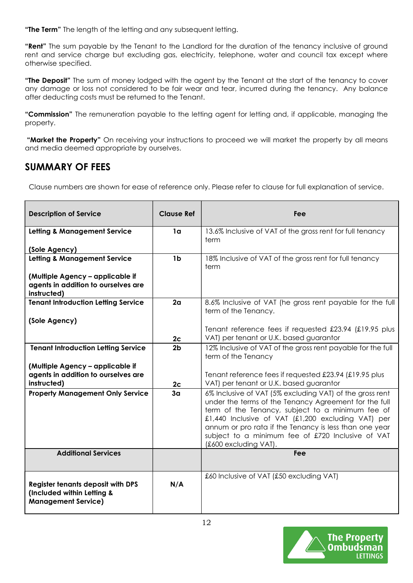"The Term" The length of the letting and any subsequent letting.

"Rent" The sum payable by the Tenant to the Landlord for the duration of the tenancy inclusive of ground rent and service charge but excluding gas, electricity, telephone, water and council tax except where otherwise specified.

"The Deposit" The sum of money lodged with the agent by the Tenant at the start of the tenancy to cover any damage or loss not considered to be fair wear and tear, incurred during the tenancy. Any balance after deducting costs must be returned to the Tenant.

"Commission" The remuneration payable to the letting agent for letting and, if applicable, managing the property.

"Market the Property" On receiving your instructions to proceed we will market the property by all means and media deemed appropriate by ourselves.

# SUMMARY OF FEES

Clause numbers are shown for ease of reference only. Please refer to clause for full explanation of service.

| <b>Description of Service</b>                                                                        | <b>Clause Ref</b> | Fee                                                                                                                                                                                                                                                                                                                                                                 |  |
|------------------------------------------------------------------------------------------------------|-------------------|---------------------------------------------------------------------------------------------------------------------------------------------------------------------------------------------------------------------------------------------------------------------------------------------------------------------------------------------------------------------|--|
| <b>Letting &amp; Management Service</b>                                                              | 1 <sub>a</sub>    | 13.6% Inclusive of VAT of the gross rent for full tenancy<br>term                                                                                                                                                                                                                                                                                                   |  |
| (Sole Agency)                                                                                        |                   |                                                                                                                                                                                                                                                                                                                                                                     |  |
| <b>Letting &amp; Management Service</b>                                                              | 1 <sub>b</sub>    | 18% Inclusive of VAT of the gross rent for full tenancy<br>term                                                                                                                                                                                                                                                                                                     |  |
| (Multiple Agency - applicable if<br>agents in addition to ourselves are<br>instructed)               |                   |                                                                                                                                                                                                                                                                                                                                                                     |  |
| <b>Tenant Introduction Letting Service</b>                                                           | 2 <sub>a</sub>    | 8.6% Inclusive of VAT (he gross rent payable for the full<br>term of the Tenancy.                                                                                                                                                                                                                                                                                   |  |
| (Sole Agency)                                                                                        |                   |                                                                                                                                                                                                                                                                                                                                                                     |  |
|                                                                                                      |                   | Tenant reference fees if requested £23.94 (£19.95 plus<br>VAT) per tenant or U.K. based guarantor                                                                                                                                                                                                                                                                   |  |
|                                                                                                      | 2c                |                                                                                                                                                                                                                                                                                                                                                                     |  |
| <b>Tenant Introduction Letting Service</b>                                                           | 2 <sub>b</sub>    | 12% Inclusive of VAT of the gross rent payable for the full<br>term of the Tenancy                                                                                                                                                                                                                                                                                  |  |
| (Multiple Agency - applicable if                                                                     |                   |                                                                                                                                                                                                                                                                                                                                                                     |  |
| agents in addition to ourselves are                                                                  |                   | Tenant reference fees if requested £23.94 (£19.95 plus                                                                                                                                                                                                                                                                                                              |  |
| instructed)                                                                                          | 2 <sub>c</sub>    | VAT) per tenant or U.K. based guarantor                                                                                                                                                                                                                                                                                                                             |  |
| <b>Property Management Only Service</b>                                                              | 3 <sub>a</sub>    | 6% Inclusive of VAT (5% excluding VAT) of the gross rent<br>under the terms of the Tenancy Agreement for the full<br>term of the Tenancy, subject to a minimum fee of<br>£1,440 Inclusive of VAT (£1,200 excluding VAT) per<br>annum or pro rata if the Tenancy is less than one year<br>subject to a minimum fee of £720 Inclusive of VAT<br>(£600 excluding VAT). |  |
| <b>Additional Services</b>                                                                           |                   | Fee                                                                                                                                                                                                                                                                                                                                                                 |  |
| <b>Register tenants deposit with DPS</b><br>(Included within Letting &<br><b>Management Service)</b> | N/A               | £60 Inclusive of VAT (£50 excluding VAT)                                                                                                                                                                                                                                                                                                                            |  |

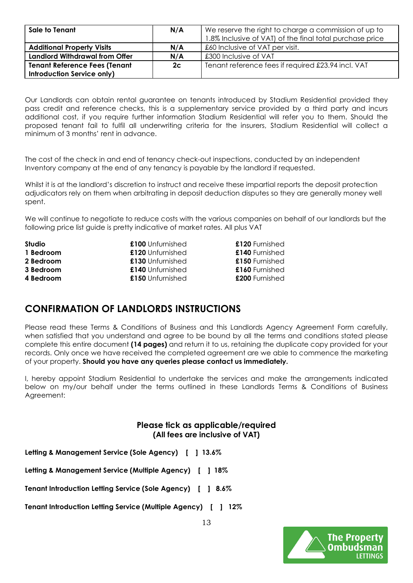| Sale to Tenant                        | N/A | We reserve the right to charge a commission of up to<br>1.8% Inclusive of VAT) of the final total purchase price |
|---------------------------------------|-----|------------------------------------------------------------------------------------------------------------------|
| <b>Additional Property Visits</b>     | N/A | £60 Inclusive of VAT per visit.                                                                                  |
| <b>Landlord Withdrawal from Offer</b> | N/A | £300 Inclusive of VAT                                                                                            |
| <b>Tenant Reference Fees (Tenant</b>  | 2c  | Tenant reference fees if required £23.94 incl. VAT                                                               |
| <b>Introduction Service only)</b>     |     |                                                                                                                  |

Our Landlords can obtain rental guarantee on tenants introduced by Stadium Residential provided they pass credit and reference checks, this is a supplementary service provided by a third party and incurs additional cost, if you require further information Stadium Residential will refer you to them. Should the proposed tenant fail to fulfil all underwriting criteria for the insurers, Stadium Residential will collect a minimum of 3 months' rent in advance.

The cost of the check in and end of tenancy check-out inspections, conducted by an independent Inventory company at the end of any tenancy is payable by the landlord if requested.

Whilst it is at the landlord's discretion to instruct and receive these impartial reports the deposit protection adjudicators rely on them when arbitrating in deposit deduction disputes so they are generally money well spent.

We will continue to negotiate to reduce costs with the various companies on behalf of our landlords but the following price list guide is pretty indicative of market rates. All plus VAT

| Studio    | £100 Unfurnished | £120 Furnished |
|-----------|------------------|----------------|
| 1 Bedroom | £120 Unfurnished | £140 Furnished |
| 2 Bedroom | £130 Unfurnished | £150 Furnished |
| 3 Bedroom | £140 Unfurnished | £160 Furnished |
| 4 Bedroom | £150 Unfurnished | £200 Furnished |

# CONFIRMATION OF LANDLORDS INSTRUCTIONS

Please read these Terms & Conditions of Business and this Landlords Agency Agreement Form carefully, when satisfied that you understand and agree to be bound by all the terms and conditions stated please complete this entire document (14 pages) and return it to us, retaining the duplicate copy provided for your records. Only once we have received the completed agreement are we able to commence the marketing of your property. Should you have any queries please contact us immediately.

I, hereby appoint Stadium Residential to undertake the services and make the arrangements indicated below on my/our behalf under the terms outlined in these Landlords Terms & Conditions of Business Agreement:

## Please tick as applicable/required (All fees are inclusive of VAT)

Letting & Management Service (Sole Agency) [ ] 13.6%

Letting & Management Service (Multiple Agency) [ ] 18%

Tenant Introduction Letting Service (Sole Agency) [ ] 8.6%

Tenant Introduction Letting Service (Multiple Agency) [ ] 12%